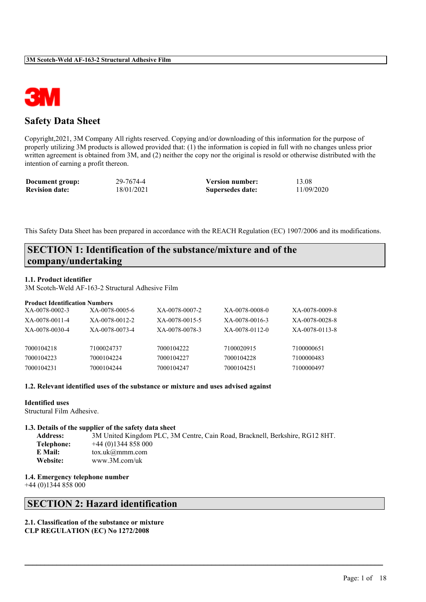

# **Safety Data Sheet**

Copyright,2021, 3M Company All rights reserved. Copying and/or downloading of this information for the purpose of properly utilizing 3M products is allowed provided that: (1) the information is copied in full with no changes unless prior written agreement is obtained from 3M, and (2) neither the copy nor the original is resold or otherwise distributed with the intention of earning a profit thereon.

| Document group:       | 29-7674-4  | <b>Version number:</b> | 13.08      |
|-----------------------|------------|------------------------|------------|
| <b>Revision date:</b> | 18/01/2021 | Supersedes date:       | 11/09/2020 |

This Safety Data Sheet has been prepared in accordance with the REACH Regulation (EC) 1907/2006 and its modifications.

# **SECTION 1: Identification of the substance/mixture and of the company/undertaking**

### **1.1. Product identifier**

3M Scotch-Weld AF-163-2 Structural Adhesive Film

#### **Product Identification Numbers**

| XA-0078-0002-3 | XA-0078-0005-6 | XA-0078-0007-2 | XA-0078-0008-0 | XA-0078-0009-8 |
|----------------|----------------|----------------|----------------|----------------|
| XA-0078-0011-4 | XA-0078-0012-2 | XA-0078-0015-5 | XA-0078-0016-3 | XA-0078-0028-8 |
| XA-0078-0030-4 | XA-0078-0073-4 | XA-0078-0078-3 | XA-0078-0112-0 | XA-0078-0113-8 |
|                |                |                |                |                |
| 7000104218     | 7100024737     | 7000104222     | 7100020915     | 7100000651     |
| 7000104223     | 7000104224     | 7000104227     | 7000104228     | 7100000483     |
| 7000104231     | 7000104244     | 7000104247     | 7000104251     | 7100000497     |

### **1.2. Relevant identified uses of the substance or mixture and uses advised against**

#### **Identified uses**

Structural Film Adhesive.

## **1.3. Details of the supplier of the safety data sheet**

| <b>Address:</b> | 3M United Kingdom PLC, 3M Centre, Cain Road, Bracknell, Berkshire, RG12 8HT. |
|-----------------|------------------------------------------------------------------------------|
| Telephone:      | $+44(0)1344858000$                                                           |
| E Mail:         | $\text{to} \text{x}.$ uk@mmm.com                                             |
| Website:        | www.3M.com/uk                                                                |

 $\mathcal{L}_\mathcal{L} = \mathcal{L}_\mathcal{L} = \mathcal{L}_\mathcal{L} = \mathcal{L}_\mathcal{L} = \mathcal{L}_\mathcal{L} = \mathcal{L}_\mathcal{L} = \mathcal{L}_\mathcal{L} = \mathcal{L}_\mathcal{L} = \mathcal{L}_\mathcal{L} = \mathcal{L}_\mathcal{L} = \mathcal{L}_\mathcal{L} = \mathcal{L}_\mathcal{L} = \mathcal{L}_\mathcal{L} = \mathcal{L}_\mathcal{L} = \mathcal{L}_\mathcal{L} = \mathcal{L}_\mathcal{L} = \mathcal{L}_\mathcal{L}$ 

#### **1.4. Emergency telephone number**

+44 (0)1344 858 000

# **SECTION 2: Hazard identification**

### **2.1. Classification of the substance or mixture CLP REGULATION (EC) No 1272/2008**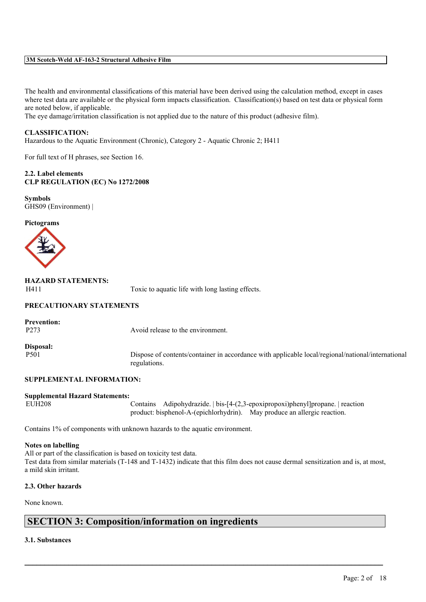The health and environmental classifications of this material have been derived using the calculation method, except in cases where test data are available or the physical form impacts classification. Classification(s) based on test data or physical form are noted below, if applicable.

The eye damage/irritation classification is not applied due to the nature of this product (adhesive film).

### **CLASSIFICATION:**

Hazardous to the Aquatic Environment (Chronic), Category 2 - Aquatic Chronic 2; H411

For full text of H phrases, see Section 16.

#### **2.2. Label elements CLP REGULATION (EC) No 1272/2008**

**Symbols** GHS09 (Environment) |

#### **Pictograms**



| <b>HAZARD STATEMENTS:</b> |  |
|---------------------------|--|
| H411                      |  |

Toxic to aquatic life with long lasting effects.

### **PRECAUTIONARY STATEMENTS**

**Prevention:**

P273 Avoid release to the environment.

**Disposal:**

P501 Dispose of contents/container in accordance with applicable local/regional/national/international regulations.

## **SUPPLEMENTAL INFORMATION:**

# **Supplemental Hazard Statements:**

Contains Adipohydrazide. | bis- $[4-(2,3-\epsilon poxipropoxi)$ phenyl]propane. | reaction product: bisphenol-A-(epichlorhydrin). May produce an allergic reaction.

Contains 1% of components with unknown hazards to the aquatic environment.

#### **Notes on labelling**

All or part of the classification is based on toxicity test data. Test data from similar materials (T-148 and T-1432) indicate that this film does not cause dermal sensitization and is, at most, a mild skin irritant.

 $\mathcal{L}_\mathcal{L} = \mathcal{L}_\mathcal{L} = \mathcal{L}_\mathcal{L} = \mathcal{L}_\mathcal{L} = \mathcal{L}_\mathcal{L} = \mathcal{L}_\mathcal{L} = \mathcal{L}_\mathcal{L} = \mathcal{L}_\mathcal{L} = \mathcal{L}_\mathcal{L} = \mathcal{L}_\mathcal{L} = \mathcal{L}_\mathcal{L} = \mathcal{L}_\mathcal{L} = \mathcal{L}_\mathcal{L} = \mathcal{L}_\mathcal{L} = \mathcal{L}_\mathcal{L} = \mathcal{L}_\mathcal{L} = \mathcal{L}_\mathcal{L}$ 

#### **2.3. Other hazards**

None known.

# **SECTION 3: Composition/information on ingredients**

### **3.1. Substances**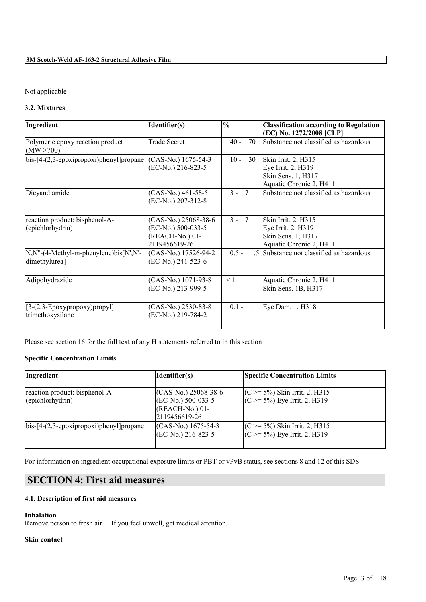# Not applicable

# **3.2. Mixtures**

| Ingredient                                                         | Identifier(s)                                                                  | $\frac{0}{0}$ | <b>Classification according to Regulation</b><br>(EC) No. 1272/2008 [CLP]                  |
|--------------------------------------------------------------------|--------------------------------------------------------------------------------|---------------|--------------------------------------------------------------------------------------------|
| Polymeric epoxy reaction product<br>(MW > 700)                     | <b>Trade Secret</b>                                                            | 70<br>$40 -$  | Substance not classified as hazardous                                                      |
| bis-[4-(2,3-epoxipropoxi)phenyl]propane                            | (CAS-No.) 1675-54-3<br>(EC-No.) 216-823-5                                      | $10 -$<br>30  | Skin Irrit. 2, H315<br>Eye Irrit. 2, H319<br>Skin Sens. 1, H317<br>Aquatic Chronic 2, H411 |
| Dicyandiamide                                                      | (CAS-No.) 461-58-5<br>(EC-No.) 207-312-8                                       | $3 - 7$       | Substance not classified as hazardous                                                      |
| reaction product: bisphenol-A-<br>(epichlorhydrin)                 | (CAS-No.) 25068-38-6<br>(EC-No.) 500-033-5<br>(REACH-No.) 01-<br>2119456619-26 | $3 - 7$       | Skin Irrit. 2, H315<br>Eye Irrit. 2, H319<br>Skin Sens. 1, H317<br>Aquatic Chronic 2, H411 |
| $N, N''-(4-Methyl-m-phenylene)$ bis $[N', N'-1']$<br>dimethylurea] | (CAS-No.) 17526-94-2<br>(EC-No.) 241-523-6                                     | $0.5 -$       | 1.5 Substance not classified as hazardous                                                  |
| Adipohydrazide                                                     | (CAS-No.) 1071-93-8<br>(EC-No.) 213-999-5                                      | $\leq 1$      | Aquatic Chronic 2, H411<br>Skin Sens. 1B, H317                                             |
| $[3-(2,3-Epoxypropoxy)propyl]$<br>trimethoxysilane                 | (CAS-No.) 2530-83-8<br>(EC-No.) 219-784-2                                      | $0.1 - 1$     | Eye Dam. 1, H318                                                                           |

Please see section 16 for the full text of any H statements referred to in this section

# **Specific Concentration Limits**

| Ingredient                                          | Identifier(s)                                                                             | <b>Specific Concentration Limits</b>                                  |
|-----------------------------------------------------|-------------------------------------------------------------------------------------------|-----------------------------------------------------------------------|
| reaction product: bisphenol-A-<br>(epichlorhydrin)  | (CAS-No.) 25068-38-6<br>$(\text{EC-No.})$ 500-033-5<br>$(REACH-No.) 01-$<br>2119456619-26 | $(C \ge 5\%)$ Skin Irrit. 2, H315<br>$(C \ge 5\%)$ Eye Irrit. 2, H319 |
| $\vert$ bis-[4- $(2,3$ -epoxipropoxi)phenyl]propane | $(CAS-N0)$ 1675-54-3<br>$(EC-No.) 216-823-5$                                              | $(C \ge 5\%)$ Skin Irrit. 2, H315<br>$(C \ge 5\%)$ Eye Irrit. 2, H319 |

 $\mathcal{L}_\mathcal{L} = \mathcal{L}_\mathcal{L} = \mathcal{L}_\mathcal{L} = \mathcal{L}_\mathcal{L} = \mathcal{L}_\mathcal{L} = \mathcal{L}_\mathcal{L} = \mathcal{L}_\mathcal{L} = \mathcal{L}_\mathcal{L} = \mathcal{L}_\mathcal{L} = \mathcal{L}_\mathcal{L} = \mathcal{L}_\mathcal{L} = \mathcal{L}_\mathcal{L} = \mathcal{L}_\mathcal{L} = \mathcal{L}_\mathcal{L} = \mathcal{L}_\mathcal{L} = \mathcal{L}_\mathcal{L} = \mathcal{L}_\mathcal{L}$ 

For information on ingredient occupational exposure limits or PBT or vPvB status, see sections 8 and 12 of this SDS

# **SECTION 4: First aid measures**

# **4.1. Description of first aid measures**

### **Inhalation**

Remove person to fresh air. If you feel unwell, get medical attention.

## **Skin contact**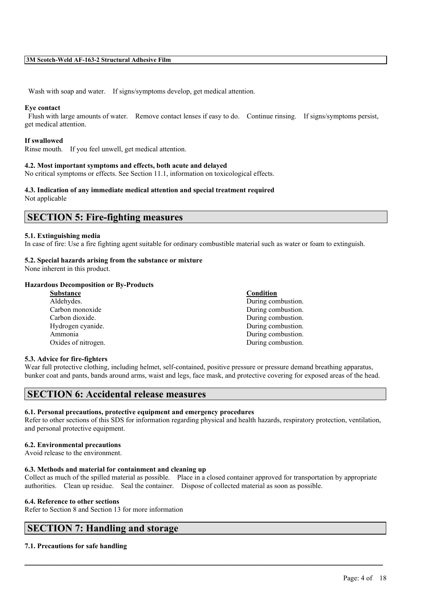Wash with soap and water. If signs/symptoms develop, get medical attention.

#### **Eye contact**

Flush with large amounts of water. Remove contact lenses if easy to do. Continue rinsing. If signs/symptoms persist, get medical attention.

#### **If swallowed**

Rinse mouth. If you feel unwell, get medical attention.

#### **4.2. Most important symptoms and effects, both acute and delayed**

No critical symptoms or effects. See Section 11.1, information on toxicological effects.

#### **4.3. Indication of any immediate medical attention and special treatment required** Not applicable

# **SECTION 5: Fire-fighting measures**

#### **5.1. Extinguishing media**

In case of fire: Use a fire fighting agent suitable for ordinary combustible material such as water or foam to extinguish.

### **5.2. Special hazards arising from the substance or mixture**

None inherent in this product.

#### **Hazardous Decomposition or By-Products**

| <b>Substance</b>    | Condition          |
|---------------------|--------------------|
| Aldehydes.          | During combustion. |
| Carbon monoxide     | During combustion. |
| Carbon dioxide.     | During combustion. |
| Hydrogen cyanide.   | During combustion. |
| Ammonia             | During combustion. |
| Oxides of nitrogen. | During combustion. |
|                     |                    |

#### **5.3. Advice for fire-fighters**

Wear full protective clothing, including helmet, self-contained, positive pressure or pressure demand breathing apparatus, bunker coat and pants, bands around arms, waist and legs, face mask, and protective covering for exposed areas of the head.

# **SECTION 6: Accidental release measures**

### **6.1. Personal precautions, protective equipment and emergency procedures**

Refer to other sections of this SDS for information regarding physical and health hazards, respiratory protection, ventilation, and personal protective equipment.

#### **6.2. Environmental precautions**

Avoid release to the environment.

#### **6.3. Methods and material for containment and cleaning up**

Collect as much of the spilled material as possible. Place in a closed container approved for transportation by appropriate authorities. Clean up residue. Seal the container. Dispose of collected material as soon as possible.

 $\mathcal{L}_\mathcal{L} = \mathcal{L}_\mathcal{L} = \mathcal{L}_\mathcal{L} = \mathcal{L}_\mathcal{L} = \mathcal{L}_\mathcal{L} = \mathcal{L}_\mathcal{L} = \mathcal{L}_\mathcal{L} = \mathcal{L}_\mathcal{L} = \mathcal{L}_\mathcal{L} = \mathcal{L}_\mathcal{L} = \mathcal{L}_\mathcal{L} = \mathcal{L}_\mathcal{L} = \mathcal{L}_\mathcal{L} = \mathcal{L}_\mathcal{L} = \mathcal{L}_\mathcal{L} = \mathcal{L}_\mathcal{L} = \mathcal{L}_\mathcal{L}$ 

#### **6.4. Reference to other sections**

Refer to Section 8 and Section 13 for more information

# **SECTION 7: Handling and storage**

#### **7.1. Precautions for safe handling**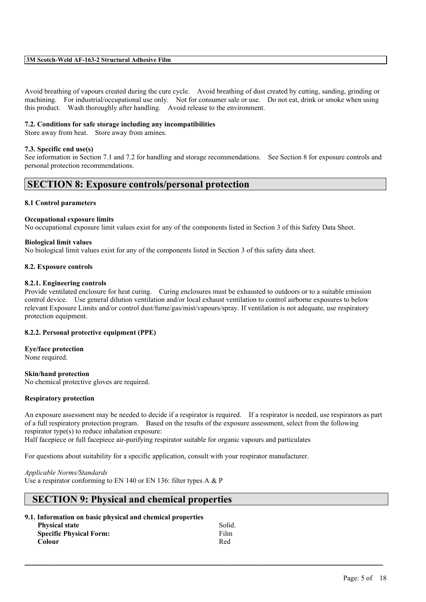Avoid breathing of vapours created during the cure cycle. Avoid breathing of dust created by cutting, sanding, grinding or machining. For industrial/occupational use only. Not for consumer sale or use. Do not eat, drink or smoke when using this product. Wash thoroughly after handling. Avoid release to the environment.

#### **7.2. Conditions for safe storage including any incompatibilities**

Store away from heat. Store away from amines.

#### **7.3. Specific end use(s)**

See information in Section 7.1 and 7.2 for handling and storage recommendations. See Section 8 for exposure controls and personal protection recommendations.

# **SECTION 8: Exposure controls/personal protection**

#### **8.1 Control parameters**

#### **Occupational exposure limits**

No occupational exposure limit values exist for any of the components listed in Section 3 of this Safety Data Sheet.

#### **Biological limit values**

No biological limit values exist for any of the components listed in Section 3 of this safety data sheet.

#### **8.2. Exposure controls**

#### **8.2.1. Engineering controls**

Provide ventilated enclosure for heat curing. Curing enclosures must be exhausted to outdoors or to a suitable emission control device. Use general dilution ventilation and/or local exhaust ventilation to control airborne exposures to below relevant Exposure Limits and/or control dust/fume/gas/mist/vapours/spray. If ventilation is not adequate, use respiratory protection equipment.

#### **8.2.2. Personal protective equipment (PPE)**

**Eye/face protection** None required.

#### **Skin/hand protection**

No chemical protective gloves are required.

#### **Respiratory protection**

An exposure assessment may be needed to decide if a respirator is required. If a respirator is needed, use respirators as part of a full respiratory protection program. Based on the results of the exposure assessment, select from the following respirator type(s) to reduce inhalation exposure:

 $\mathcal{L}_\mathcal{L} = \mathcal{L}_\mathcal{L} = \mathcal{L}_\mathcal{L} = \mathcal{L}_\mathcal{L} = \mathcal{L}_\mathcal{L} = \mathcal{L}_\mathcal{L} = \mathcal{L}_\mathcal{L} = \mathcal{L}_\mathcal{L} = \mathcal{L}_\mathcal{L} = \mathcal{L}_\mathcal{L} = \mathcal{L}_\mathcal{L} = \mathcal{L}_\mathcal{L} = \mathcal{L}_\mathcal{L} = \mathcal{L}_\mathcal{L} = \mathcal{L}_\mathcal{L} = \mathcal{L}_\mathcal{L} = \mathcal{L}_\mathcal{L}$ 

Half facepiece or full facepiece air-purifying respirator suitable for organic vapours and particulates

For questions about suitability for a specific application, consult with your respirator manufacturer.

#### *Applicable Norms/Standards*

Use a respirator conforming to EN 140 or EN 136: filter types A & P

# **SECTION 9: Physical and chemical properties**

**9.1. Information on basic physical and chemical properties**

| <b>Physical state</b>          | Solid. |
|--------------------------------|--------|
| <b>Specific Physical Form:</b> | Film   |
| Colour                         | Red    |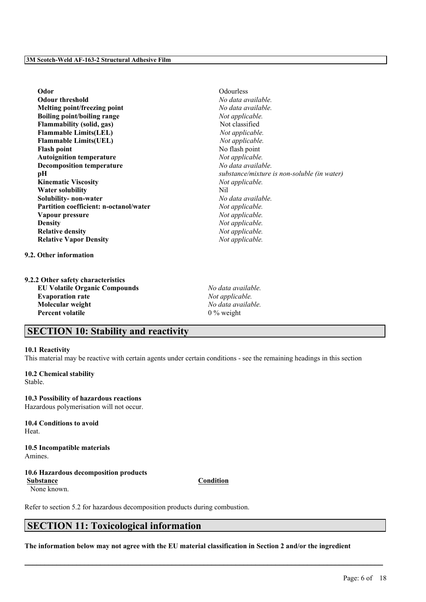**Odor** Odourless **Odour threshold** *No data available.* **Melting point/freezing point** *No data available.* **Boiling point/boiling range** *Not applicable.* **Flammability** (solid, gas) Not classified **Flammable Limits(LEL)** *Not applicable.* **Flammable Limits(UEL)** *Not applicable.* **Flash point** No flash point **Autoignition temperature** *Not applicable.* **Decomposition temperature** *No data available.* **Kinematic Viscosity** *Not applicable.* **Water solubility** Nil **Solubility- non-water** *No data available.* **Partition coefficient: n-octanol/water** *Not applicable.* **Vapour pressure** *Not applicable.* **Density** *Not applicable.*<br> **Relative density** *Not applicable.* **Relative** density **Relative Vapor Density** *Not applicable.*

**9.2. Other information**

**9.2.2 Other safety characteristics EU Volatile Organic Compounds** *No data available.* **Evaporation rate** *Not applicable.* **Molecular weight** *No data available.* **Percent volatile** 0 % weight

**pH** *substance/mixture is non-soluble (in water)*

# **SECTION 10: Stability and reactivity**

### **10.1 Reactivity**

This material may be reactive with certain agents under certain conditions - see the remaining headings in this section

#### **10.2 Chemical stability** Stable.

**10.3 Possibility of hazardous reactions** Hazardous polymerisation will not occur.

**10.4 Conditions to avoid** Heat.

**10.5 Incompatible materials** Amines.

**10.6 Hazardous decomposition products Substance Condition**

None known.

Refer to section 5.2 for hazardous decomposition products during combustion.

# **SECTION 11: Toxicological information**

The information below may not agree with the EU material classification in Section 2 and/or the ingredient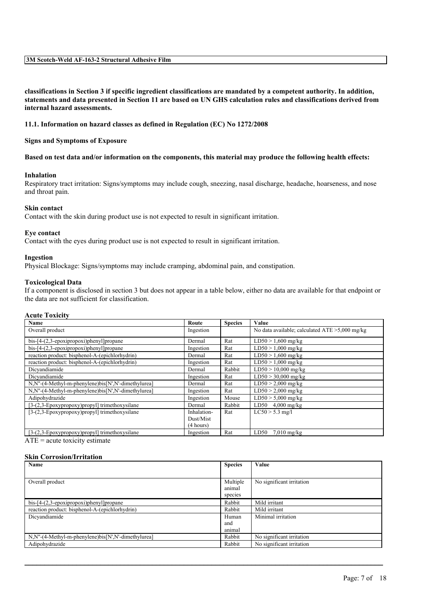classifications in Section 3 if specific ingredient classifications are mandated by a competent authority. In addition, statements and data presented in Section 11 are based on UN GHS calculation rules and classifications derived from **internal hazard assessments.**

### **11.1. Information on hazard classes as defined in Regulation (EC) No 1272/2008**

**Signs and Symptoms of Exposure**

#### Based on test data and/or information on the components, this material may produce the following health effects:

#### **Inhalation**

Respiratory tract irritation: Signs/symptoms may include cough, sneezing, nasal discharge, headache, hoarseness, and nose and throat pain.

#### **Skin contact**

Contact with the skin during product use is not expected to result in significant irritation.

#### **Eye contact**

Contact with the eyes during product use is not expected to result in significant irritation.

#### **Ingestion**

Physical Blockage: Signs/symptoms may include cramping, abdominal pain, and constipation.

#### **Toxicological Data**

If a component is disclosed in section 3 but does not appear in a table below, either no data are available for that endpoint or the data are not sufficient for classification.

#### **Acute Toxicity**

| Name                                               | Route       | <b>Species</b> | Value                                             |
|----------------------------------------------------|-------------|----------------|---------------------------------------------------|
| Overall product                                    | Ingestion   |                | No data available; calculated $ATE > 5,000$ mg/kg |
| bis-[4-(2,3-epoxipropoxi)phenyl]propane            | Dermal      | Rat            | $LD50 > 1,600$ mg/kg                              |
| $bis$ -[4- $(2,3$ -epoxipropoxi)phenyl]propane     | Ingestion   | Rat            | $LD50 > 1,000$ mg/kg                              |
| reaction product: bisphenol-A-(epichlorhydrin)     | Dermal      | Rat            | $LD50 > 1,600$ mg/kg                              |
| reaction product: bisphenol-A-(epichlorhydrin)     | Ingestion   | Rat            | $LD50 > 1,000$ mg/kg                              |
| Dicvandiamide                                      | Dermal      | Rabbit         | $LD50 > 10,000$ mg/kg                             |
| Dicvandiamide                                      | Ingestion   | Rat            | $LD50 > 30,000$ mg/kg                             |
| N,N"-(4-Methyl-m-phenylene)bis[N',N'-dimethylurea] | Dermal      | Rat            | $LD50 > 2,000$ mg/kg                              |
| N,N"-(4-Methyl-m-phenylene)bis[N',N'-dimethylurea] | Ingestion   | Rat            | $LD50 > 2,000$ mg/kg                              |
| Adipohydrazide                                     | Ingestion   | Mouse          | $LD50 > 5,000$ mg/kg                              |
| [3-(2,3-Epoxypropoxy)propyl] trimethoxysilane      | Dermal      | Rabbit         | $LD50$ 4,000 mg/kg                                |
| [3-(2,3-Epoxypropoxy)propyl] trimethoxysilane      | Inhalation- | Rat            | $LC50 > 5.3$ mg/l                                 |
|                                                    | Dust/Mist   |                |                                                   |
|                                                    | (4 hours)   |                |                                                   |
| $[3-(2,3-Epoxypropoxy)propyl]$ trimethoxysilane    | Ingestion   | Rat            | LD50<br>$7.010$ mg/kg                             |

 $ATE = acute$  toxicity estimate

#### **Skin Corrosion/Irritation**

| Name                                                       | <b>Species</b> | Value                     |
|------------------------------------------------------------|----------------|---------------------------|
|                                                            |                |                           |
| Overall product                                            | Multiple       | No significant irritation |
|                                                            | animal         |                           |
|                                                            | species        |                           |
| $bis$ -[4- $(2,3$ -epoxipropoxi)phenyl]propane             | Rabbit         | Mild irritant             |
| reaction product: bisphenol-A-(epichlorhydrin)             | Rabbit         | Mild irritant             |
| Dicyandiamide                                              | Human          | Minimal irritation        |
|                                                            | and            |                           |
|                                                            | animal         |                           |
| $N.N''-(4-Methyl-m-phenylene)$ bis $[N',N'-dimentv lurea]$ | Rabbit         | No significant irritation |
| Adipohydrazide                                             | Rabbit         | No significant irritation |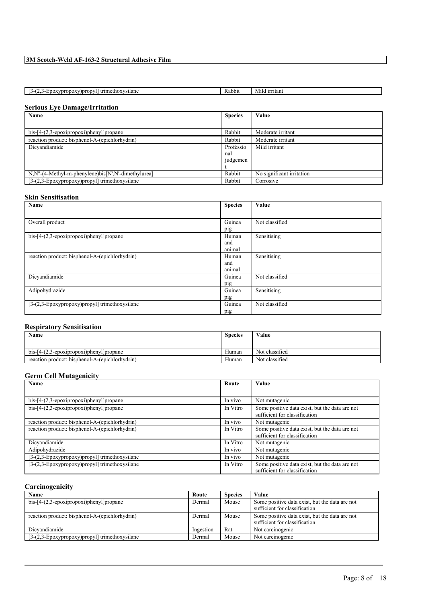| <sup>1</sup> trime <sub>t</sub><br>ethoxysilane<br>Doropyl)<br>7DI∖<br>--<br>.<br>. | Rabbi | irritant<br>41IG |
|-------------------------------------------------------------------------------------|-------|------------------|
|                                                                                     |       |                  |

# **Serious Eye Damage/Irritation**

| Name                                               | <b>Species</b> | Value                     |
|----------------------------------------------------|----------------|---------------------------|
|                                                    |                |                           |
| $bis$ -[4- $(2,3$ -epoxipropoxi)phenyl]propane     | Rabbit         | Moderate irritant         |
| reaction product: bisphenol-A-(epichlorhydrin)     | Rabbit         | Moderate irritant         |
| Dicyandiamide                                      | Professio      | Mild irritant             |
|                                                    | nal            |                           |
|                                                    | judgemen       |                           |
|                                                    |                |                           |
| N,N"-(4-Methyl-m-phenylene)bis[N',N'-dimethylurea] | Rabbit         | No significant irritation |
| [3-(2,3-Epoxypropoxy)propyl] trimethoxysilane      | Rabbit         | Corrosive                 |

### **Skin Sensitisation**

| Name                                           | <b>Species</b> | Value          |
|------------------------------------------------|----------------|----------------|
|                                                |                |                |
| Overall product                                | Guinea         | Not classified |
|                                                | pig            |                |
| bis-[4-(2,3-epoxipropoxi)phenyl]propane        | Human          | Sensitising    |
|                                                | and            |                |
|                                                | animal         |                |
| reaction product: bisphenol-A-(epichlorhydrin) | Human          | Sensitising    |
|                                                | and            |                |
|                                                | animal         |                |
| Dicyandiamide                                  | Guinea         | Not classified |
|                                                | pig            |                |
| Adipohydrazide                                 | Guinea         | Sensitising    |
|                                                | pig            |                |
| [3-(2,3-Epoxypropoxy)propyl] trimethoxysilane  | Guinea         | Not classified |
|                                                | pig            |                |

# **Respiratory Sensitisation**

| Name                                           | <b>Species</b> | Value          |
|------------------------------------------------|----------------|----------------|
|                                                |                |                |
| $bis-[4-(2,3-epoxi)propan]$                    | Human          | Not classified |
| reaction product: bisphenol-A-(epichlorhydrin) | Human          | Not classified |

### **Germ Cell Mutagenicity**

| Name                                           | Route    | Value                                                                           |
|------------------------------------------------|----------|---------------------------------------------------------------------------------|
|                                                |          |                                                                                 |
| $bis$ -[4- $(2,3$ -epoxipropoxi)phenyl]propane | In vivo  | Not mutagenic                                                                   |
| $bis$ -[4- $(2,3$ -epoxipropoxi)phenyl]propane | In Vitro | Some positive data exist, but the data are not<br>sufficient for classification |
| reaction product: bisphenol-A-(epichlorhydrin) | In vivo  | Not mutagenic                                                                   |
| reaction product: bisphenol-A-(epichlorhydrin) | In Vitro | Some positive data exist, but the data are not<br>sufficient for classification |
| Dicvandiamide                                  | In Vitro | Not mutagenic                                                                   |
| Adipohydrazide                                 | In vivo  | Not mutagenic                                                                   |
| [3-(2,3-Epoxypropoxy)propyl] trimethoxysilane  | In vivo  | Not mutagenic                                                                   |
| [3-(2,3-Epoxypropoxy)propyl] trimethoxysilane  | In Vitro | Some positive data exist, but the data are not<br>sufficient for classification |

# **Carcinogenicity**

| Name                                           | Route     | <b>Species</b> | Value                                          |
|------------------------------------------------|-----------|----------------|------------------------------------------------|
| $bis-[4-(2,3-epoxi)propoxi)phenyl]propane$     | Dermal    | Mouse          | Some positive data exist, but the data are not |
|                                                |           |                | sufficient for classification                  |
| reaction product: bisphenol-A-(epichlorhydrin) | Dermal    | Mouse          | Some positive data exist, but the data are not |
|                                                |           |                | sufficient for classification                  |
| Dicvandiamide                                  | Ingestion | Rat            | Not carcinogenic                               |
| [3-(2,3-Epoxypropoxy)propyl] trimethoxysilane  | Dermal    | Mouse          | Not carcinogenic                               |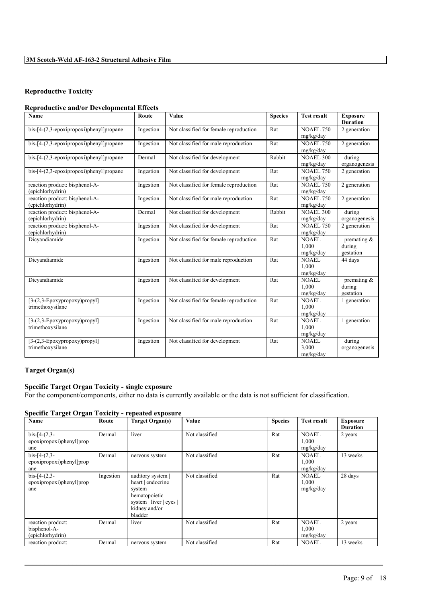# **Reproductive Toxicity**

## **Reproductive and/or Developmental Effects**

| Name                                           | Route     | Value                                  | <b>Species</b> | <b>Test result</b> | <b>Exposure</b> |
|------------------------------------------------|-----------|----------------------------------------|----------------|--------------------|-----------------|
|                                                |           |                                        |                |                    | <b>Duration</b> |
| $bis$ -[4- $(2,3$ -epoxipropoxi)phenyl]propane | Ingestion | Not classified for female reproduction | Rat            | <b>NOAEL 750</b>   | 2 generation    |
|                                                |           |                                        |                | mg/kg/day          |                 |
| bis-[4-(2,3-epoxipropoxi)phenyl]propane        | Ingestion | Not classified for male reproduction   | Rat            | <b>NOAEL 750</b>   | 2 generation    |
|                                                |           |                                        |                | mg/kg/day          |                 |
| $bis$ -[4- $(2,3$ -epoxipropoxi)phenyl]propane | Dermal    | Not classified for development         | Rabbit         | <b>NOAEL 300</b>   | during          |
|                                                |           |                                        |                | mg/kg/day          | organogenesis   |
| $bis$ -[4- $(2,3$ -epoxipropoxi)phenyl]propane | Ingestion | Not classified for development         | Rat            | <b>NOAEL 750</b>   | 2 generation    |
|                                                |           |                                        |                | mg/kg/day          |                 |
| reaction product: bisphenol-A-                 | Ingestion | Not classified for female reproduction | Rat            | <b>NOAEL 750</b>   | 2 generation    |
| (epichlorhydrin)                               |           |                                        |                | mg/kg/day          |                 |
| reaction product: bisphenol-A-                 | Ingestion | Not classified for male reproduction   | Rat            | <b>NOAEL 750</b>   | 2 generation    |
| (epichlorhydrin)                               |           |                                        |                | mg/kg/day          |                 |
| reaction product: bisphenol-A-                 | Dermal    | Not classified for development         | Rabbit         | <b>NOAEL 300</b>   | during          |
| (epichlorhydrin)                               |           |                                        |                | mg/kg/day          | organogenesis   |
| reaction product: bisphenol-A-                 | Ingestion | Not classified for development         | Rat            | <b>NOAEL 750</b>   | 2 generation    |
| (epichlorhydrin)                               |           |                                        |                | mg/kg/day          |                 |
| Dicyandiamide                                  | Ingestion | Not classified for female reproduction | Rat            | <b>NOAEL</b>       | premating $\&$  |
|                                                |           |                                        |                | 1.000              | during          |
|                                                |           |                                        |                | mg/kg/day          | gestation       |
| Dicyandiamide                                  | Ingestion | Not classified for male reproduction   | Rat            | <b>NOAEL</b>       | 44 days         |
|                                                |           |                                        |                | 1.000              |                 |
|                                                |           |                                        |                | mg/kg/day          |                 |
| Dicyandiamide                                  | Ingestion | Not classified for development         | Rat            | <b>NOAEL</b>       | premating $\&$  |
|                                                |           |                                        |                | 1,000              | during          |
|                                                |           |                                        |                | mg/kg/day          | gestation       |
| $[3-(2,3-Epoxypropoxy)propyl]$                 | Ingestion | Not classified for female reproduction | Rat            | NOAEL              | 1 generation    |
| trimethoxysilane                               |           |                                        |                | 1,000              |                 |
|                                                |           |                                        |                | mg/kg/day          |                 |
| $[3-(2,3-Epoxypropoxy)propyl]$                 | Ingestion | Not classified for male reproduction   | Rat            | <b>NOAEL</b>       | 1 generation    |
| trimethoxysilane                               |           |                                        |                | 1.000              |                 |
|                                                |           |                                        |                | mg/kg/day          |                 |
| $[3-(2,3-Epoxypropoxy)propyl]$                 | Ingestion | Not classified for development         | Rat            | <b>NOAEL</b>       | during          |
| trimethoxysilane                               |           |                                        |                | 3.000              | organogenesis   |
|                                                |           |                                        |                | mg/kg/day          |                 |

# **Target Organ(s)**

# **Specific Target Organ Toxicity - single exposure**

For the component/components, either no data is currently available or the data is not sufficient for classification.

# **Specific Target Organ Toxicity - repeated exposure**

| Name                                                  | Route     | <b>Target Organ(s)</b>                                                                                                   | Value          | <b>Species</b> | <b>Test result</b>                 | <b>Exposure</b><br><b>Duration</b> |
|-------------------------------------------------------|-----------|--------------------------------------------------------------------------------------------------------------------------|----------------|----------------|------------------------------------|------------------------------------|
| $bis-[4-(2,3-$<br>epoxipropoxi)phenyl]prop<br>ane     | Dermal    | liver                                                                                                                    | Not classified | Rat            | <b>NOAEL</b><br>1,000<br>mg/kg/day | 2 years                            |
| $bis-[4-(2,3-$<br>epoxipropoxi)phenyl]prop<br>ane     | Dermal    | nervous system                                                                                                           | Not classified | Rat            | <b>NOAEL</b><br>1,000<br>mg/kg/day | 13 weeks                           |
| $bis-[4-(2,3-$<br>epoxipropoxi)phenyl]prop<br>ane     | Ingestion | auditory system  <br>heart   endocrine<br>system  <br>hematopoietic<br>system   liver   eyes<br>kidney and/or<br>bladder | Not classified | Rat            | <b>NOAEL</b><br>1,000<br>mg/kg/day | 28 days                            |
| reaction product:<br>bisphenol-A-<br>(epichlorhydrin) | Dermal    | liver                                                                                                                    | Not classified | Rat            | <b>NOAEL</b><br>1,000<br>mg/kg/day | 2 years                            |
| reaction product:                                     | Dermal    | nervous system                                                                                                           | Not classified | Rat            | <b>NOAEL</b>                       | 13 weeks                           |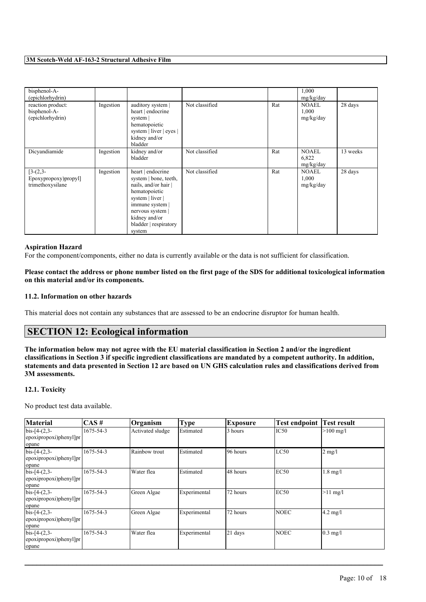| bisphenol-A-<br>(epichlorhydrin)                       |           |                                                                                                                                                                                                  |                |     | 1,000<br>mg/kg/day                 |          |
|--------------------------------------------------------|-----------|--------------------------------------------------------------------------------------------------------------------------------------------------------------------------------------------------|----------------|-----|------------------------------------|----------|
| reaction product:<br>bisphenol-A-<br>(epichlorhydrin)  | Ingestion | auditory system  <br>heart   endocrine<br>system  <br>hematopoietic<br>system   liver   eyes  <br>kidney and/or<br>bladder                                                                       | Not classified | Rat | <b>NOAEL</b><br>1,000<br>mg/kg/day | 28 days  |
| Dicvandiamide                                          | Ingestion | kidney and/or<br>bladder                                                                                                                                                                         | Not classified | Rat | <b>NOAEL</b><br>6,822<br>mg/kg/day | 13 weeks |
| $[3-(2,3-$<br>Epoxypropoxy)propyl]<br>trimethoxysilane | Ingestion | heart   endocrine<br>system   bone, teeth,<br>nails, and/or hair<br>hematopoietic<br>system   liver  <br>immune system  <br>nervous system  <br>kidney and/or<br>bladder   respiratory<br>system | Not classified | Rat | <b>NOAEL</b><br>1,000<br>mg/kg/day | 28 days  |

#### **Aspiration Hazard**

For the component/components, either no data is currently available or the data is not sufficient for classification.

### Please contact the address or phone number listed on the first page of the SDS for additional toxicological information **on this material and/or its components.**

# **11.2. Information on other hazards**

This material does not contain any substances that are assessed to be an endocrine disruptor for human health.

# **SECTION 12: Ecological information**

The information below may not agree with the EU material classification in Section 2 and/or the ingredient classifications in Section 3 if specific ingredient classifications are mandated by a competent authority. In addition, statements and data presented in Section 12 are based on UN GHS calculation rules and classifications derived from **3M assessments.**

## **12.1. Toxicity**

No product test data available.

| <b>Material</b>                                    | $\overline{CAS}$ # | Organism         | <b>Type</b>  | Exposure  | <b>Test endpoint</b> | <b>Test result</b>  |
|----------------------------------------------------|--------------------|------------------|--------------|-----------|----------------------|---------------------|
| $bis-[4-(2,3-$<br>epoxipropoxi)phenyl]pr<br>opane  | 1675-54-3          | Activated sludge | Estimated    | 3 hours   | IC <sub>50</sub>     | $>100 \text{ mg/l}$ |
| $bis-[4-(2,3-$<br>[epoxipropoxi)phenyl]pr<br>opane | 1675-54-3          | Rainbow trout    | Estimated    | 96 hours  | LC50                 | $2$ mg/l            |
| $bis-[4-(2,3-$<br>epoxipropoxi)phenyl]pr<br>opane  | 1675-54-3          | Water flea       | Estimated    | 48 hours  | EC50                 | $1.8$ mg/l          |
| $bis-[4-(2,3-$<br>epoxipropoxi)phenyl]pr<br>opane  | 1675-54-3          | Green Algae      | Experimental | 72 hours  | EC50                 | $>11$ mg/l          |
| $bis-[4-(2,3-$<br>epoxipropoxi)phenyl]pr<br>opane  | 1675-54-3          | Green Algae      | Experimental | 72 hours  | <b>NOEC</b>          | $4.2 \text{ mg/l}$  |
| $bis-[4-(2,3-$<br>epoxipropoxi)phenyl]pr<br>opane  | 1675-54-3          | Water flea       | Experimental | $21$ days | <b>NOEC</b>          | $0.3$ mg/l          |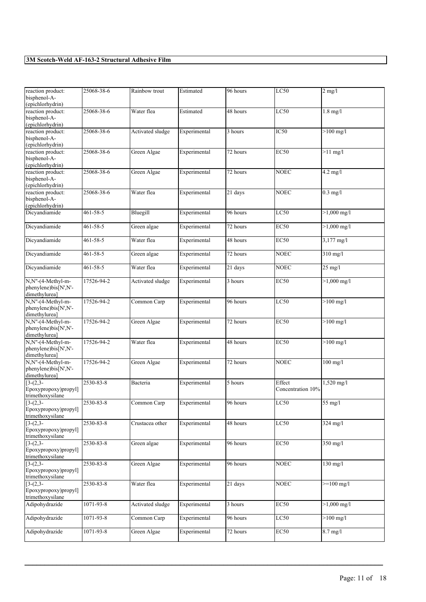| reaction product:<br>bisphenol-A-                          | 25068-38-6     | Rainbow trout    | Estimated    | 96 hours             | LC50                        | $2$ mg/l              |
|------------------------------------------------------------|----------------|------------------|--------------|----------------------|-----------------------------|-----------------------|
| (epichlorhydrin)                                           |                |                  |              |                      |                             |                       |
| reaction product:<br>bisphenol-A-<br>(epichlorhydrin)      | 25068-38-6     | Water flea       | Estimated    | 48 hours             | LC50                        | $1.8$ mg/l            |
| reaction product:<br>bisphenol-A-<br>(epichlorhydrin)      | 25068-38-6     | Activated sludge | Experimental | 3 hours              | IC50                        | $>100$ mg/l           |
| reaction product:<br>bisphenol-A-<br>(epichlorhydrin)      | 25068-38-6     | Green Algae      | Experimental | 72 hours             | <b>EC50</b>                 | $>11$ mg/l            |
| reaction product:<br>bisphenol-A-<br>(epichlorhydrin)      | 25068-38-6     | Green Algae      | Experimental | 72 hours             | <b>NOEC</b>                 | $4.2$ mg/l            |
| reaction product:<br>bisphenol-A-<br>(epichlorhydrin)      | 25068-38-6     | Water flea       | Experimental | 21 days              | <b>NOEC</b>                 | $0.3$ mg/l            |
| Dicyandiamide                                              | 461-58-5       | Bluegill         | Experimental | 96 hours             | <b>LC50</b>                 | $>1,000$ mg/l         |
| Dicyandiamide                                              | 461-58-5       | Green algae      | Experimental | 72 hours             | <b>EC50</b>                 | $>1,000$ mg/l         |
| Dicyandiamide                                              | 461-58-5       | Water flea       | Experimental | 48 hours             | EC50                        | 3,177 mg/l            |
| Dicyandiamide                                              | 461-58-5       | Green algae      | Experimental | 72 hours             | <b>NOEC</b>                 | 310 mg/l              |
| Dicyandiamide                                              | $461 - 58 - 5$ | Water flea       | Experimental | 21 days              | <b>NOEC</b>                 | $25$ mg/l             |
| N,N"-(4-Methyl-m-<br>phenylene)bis[N',N'-<br>dimethylurea] | 17526-94-2     | Activated sludge | Experimental | 3 hours              | <b>EC50</b>                 | $>1,000$ mg/l         |
| N,N"-(4-Methyl-m-<br>phenylene)bis[N',N'-<br>dimethylurea] | 17526-94-2     | Common Carp      | Experimental | 96 hours             | LC50                        | $>100$ mg/l           |
| N,N"-(4-Methyl-m-<br>phenylene)bis[N',N'-<br>dimethylurea] | 17526-94-2     | Green Algae      | Experimental | 72 hours             | <b>EC50</b>                 | $>100$ mg/l           |
| N,N"-(4-Methyl-m-<br>phenylene)bis[N',N'-<br>dimethylurea] | 17526-94-2     | Water flea       | Experimental | 48 hours             | EC <sub>50</sub>            | $>100$ mg/l           |
| N,N"-(4-Methyl-m-<br>phenylene)bis[N',N'-<br>dimethylurea] | 17526-94-2     | Green Algae      | Experimental | 72 hours             | <b>NOEC</b>                 | $100$ mg/l            |
| $[3-(2,3-$<br>Epoxypropoxy)propyl]<br>trimethoxysilane     | 2530-83-8      | Bacteria         | Experimental | 5 hours              | Effect<br>Concentration 10% | 1,520 mg/l            |
| $[3-(2,3-$<br>Epoxypropoxy)propyl]<br>trimethoxysilane     | 2530-83-8      | Common Carp      | Experimental | 96 hours             | LC50                        | 55 mg/l               |
| $[3-(2,3-$<br>Epoxypropoxy)propyl]<br>trimethoxysilane     | 2530-83-8      | Crustacea other  | Experimental | 48 hours             | LC50                        | 324 mg/l              |
| $[3-(2,3-$<br>Epoxypropoxy)propyl]<br>trimethoxysilane     | 2530-83-8      | Green algae      | Experimental | 96 hours             | <b>EC50</b>                 | $350$ mg/l            |
| $[3-(2,3-$<br>Epoxypropoxy)propyl]<br>trimethoxysilane     | 2530-83-8      | Green Algae      | Experimental | 96 hours             | <b>NOEC</b>                 | $130$ mg/l            |
| $[3-(2,3-$<br>Epoxypropoxy)propyl]<br>trimethoxysilane     | 2530-83-8      | Water flea       | Experimental | $\overline{21}$ days | <b>NOEC</b>                 | $>=100$ mg/l          |
| Adipohydrazide                                             | 1071-93-8      | Activated sludge | Experimental | 3 hours              | <b>EC50</b>                 | $>1,000 \text{ mg/l}$ |
| Adipohydrazide                                             | 1071-93-8      | Common Carp      | Experimental | 96 hours             | LC50                        | $>100$ mg/l           |
| Adipohydrazide                                             | 1071-93-8      | Green Algae      | Experimental | 72 hours             | <b>EC50</b>                 | $8.7$ mg/l            |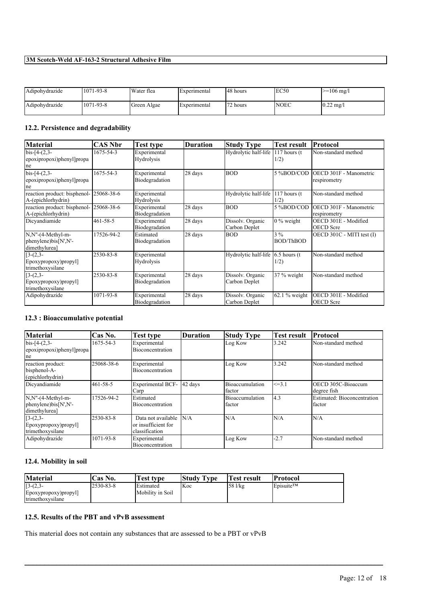| Adipohydrazide | $1071 - 93 - 8$ | Water flea  | Experimental | 148 hours | IEC <sub>50</sub> | $>=106$ mg/l        |
|----------------|-----------------|-------------|--------------|-----------|-------------------|---------------------|
| Adipohydrazide | 1071-93-8       | Green Algae | Experimental | '72 hours | <b>NOEC</b>       | $0.22 \text{ mg/l}$ |

# **12.2. Persistence and degradability**

| <b>Material</b>                                               | CAS Nbr        | Test type                      | <b>Duration</b> | <b>Study Type</b>                 | <b>Test result</b>        | Protocol                                 |
|---------------------------------------------------------------|----------------|--------------------------------|-----------------|-----------------------------------|---------------------------|------------------------------------------|
| $bis-[4-(2,3-$<br>epoxipropoxi)phenyl]propa<br>ne             | 1675-54-3      | Experimental<br>Hydrolysis     |                 | Hydrolytic half-life              | $117$ hours (t)<br>1/2)   | Non-standard method                      |
| $bis-[4-(2,3-$<br>epoxipropoxi)phenyl]propa<br>ne             | 1675-54-3      | Experimental<br>Biodegradation | 28 days         | <b>BOD</b>                        | 5 %BOD/COD                | OECD 301F - Manometric<br>respirometry   |
| reaction product: bisphenol-<br>A-(epichlorhydrin)            | 25068-38-6     | Experimental<br>Hydrolysis     |                 | Hydrolytic half-life              | $117$ hours (t)<br>1/2)   | Non-standard method                      |
| reaction product: bisphenol- 25068-38-6<br>A-(epichlorhydrin) |                | Experimental<br>Biodegradation | 28 days         | <b>BOD</b>                        | 5%BOD/COD                 | OECD 301F - Manometric<br>respirometry   |
| Dicyandiamide                                                 | $461 - 58 - 5$ | Experimental<br>Biodegradation | 28 days         | Dissolv. Organic<br>Carbon Deplet | $0\%$ weight              | OECD 301E - Modified<br><b>OECD</b> Scre |
| N.N"-(4-Methyl-m-<br>phenylene)bis[N',N'-<br>dimethylurea]    | 17526-94-2     | Estimated<br>Biodegradation    | 28 days         | <b>BOD</b>                        | $3\%$<br><b>BOD/ThBOD</b> | OECD 301C - MITI test (I)                |
| $3-(2,3-$<br>Epoxypropoxy)propyl]<br>trimethoxysilane         | 2530-83-8      | Experimental<br>Hydrolysis     |                 | Hydrolytic half-life              | $6.5$ hours (t<br>1/2)    | Non-standard method                      |
| $[3-(2,3-$<br>Epoxypropoxy)propyl]<br>trimethoxysilane        | 2530-83-8      | Experimental<br>Biodegradation | 28 days         | Dissolv. Organic<br>Carbon Deplet | 37 % weight               | Non-standard method                      |
| Adipohydrazide                                                | 1071-93-8      | Experimental<br>Biodegradation | 28 days         | Dissolv. Organic<br>Carbon Deplet | $62.1\%$ weight           | OECD 301E - Modified<br><b>OECD</b> Scre |

# **12.3 : Bioaccumulative potential**

| <b>Material</b>                                            | Cas No.    | <b>Test type</b>                                            | <b>Duration</b> | <b>Study Type</b>                | <b>Test result</b> | <b>Protocol</b>                       |
|------------------------------------------------------------|------------|-------------------------------------------------------------|-----------------|----------------------------------|--------------------|---------------------------------------|
| $bis-[4-(2,3-$<br>epoxipropoxi)phenyl]propa<br>ne          | 1675-54-3  | Experimental<br>Bioconcentration                            |                 | Log Kow                          | 3.242              | Non-standard method                   |
| reaction product:<br>bisphenol-A-<br>(epichlorhydrin)      | 25068-38-6 | Experimental<br><b>Bioconcentration</b>                     |                 | Log Kow                          | 3.242              | Non-standard method                   |
| Dicvandiamide                                              | 461-58-5   | <b>Experimental BCF-</b><br>Carp                            | 42 days         | Bioaccumulation<br>factor        | $\leq$ = 3.1       | OECD 305C-Bioaccum<br>degree fish     |
| N,N"-(4-Methyl-m-<br>phenylene)bis[N',N'-<br>dimethylurea] | 17526-94-2 | Estimated<br><b>Bioconcentration</b>                        |                 | Bioaccumulation<br><b>factor</b> | I4.3               | Estimated: Bioconcentration<br>factor |
| $[3-(2,3-$<br>Epoxypropoxy)propyl]<br>trimethoxysilane     | 2530-83-8  | Data not available<br>or insufficient for<br>classification | N/A             | N/A                              | N/A                | N/A                                   |
| Adipohydrazide                                             | 1071-93-8  | Experimental<br>Bioconcentration                            |                 | Log Kow                          | $-2.7$             | Non-standard method                   |

# **12.4. Mobility in soil**

| <b>Material</b>                                                 | <b>Cas No.</b> | Test type                            | <b>Study Type</b> | 'Test result | <b>Protocol</b>                     |
|-----------------------------------------------------------------|----------------|--------------------------------------|-------------------|--------------|-------------------------------------|
| $[3-(2,3-$<br>Epoxypropoxy)propyl]<br><i>I</i> trimethoxysilane | 2530-83-8      | <b>Estimated</b><br>Mobility in Soil | Koc               | 58 l/kg      | $\mathsf{E}$ Episuite <sup>TM</sup> |

 $\mathcal{L}_\mathcal{L} = \mathcal{L}_\mathcal{L} = \mathcal{L}_\mathcal{L} = \mathcal{L}_\mathcal{L} = \mathcal{L}_\mathcal{L} = \mathcal{L}_\mathcal{L} = \mathcal{L}_\mathcal{L} = \mathcal{L}_\mathcal{L} = \mathcal{L}_\mathcal{L} = \mathcal{L}_\mathcal{L} = \mathcal{L}_\mathcal{L} = \mathcal{L}_\mathcal{L} = \mathcal{L}_\mathcal{L} = \mathcal{L}_\mathcal{L} = \mathcal{L}_\mathcal{L} = \mathcal{L}_\mathcal{L} = \mathcal{L}_\mathcal{L}$ 

# **12.5. Results of the PBT and vPvB assessment**

This material does not contain any substances that are assessed to be a PBT or vPvB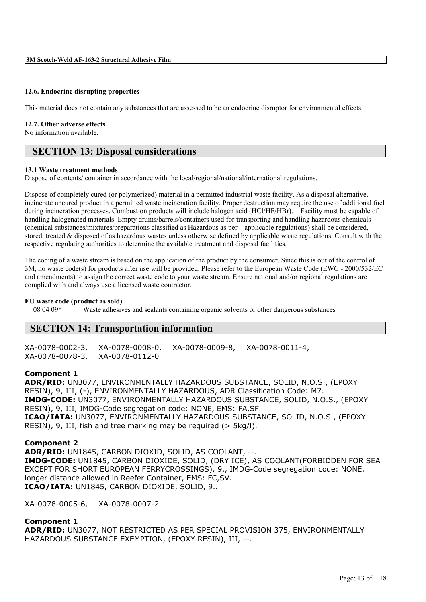### **12.6. Endocrine disrupting properties**

This material does not contain any substances that are assessed to be an endocrine disruptor for environmental effects

#### **12.7. Other adverse effects**

No information available.

# **SECTION 13: Disposal considerations**

#### **13.1 Waste treatment methods**

Dispose of contents/ container in accordance with the local/regional/national/international regulations.

Dispose of completely cured (or polymerized) material in a permitted industrial waste facility. As a disposal alternative, incinerate uncured product in a permitted waste incineration facility. Proper destruction may require the use of additional fuel during incineration processes. Combustion products will include halogen acid (HCl/HF/HBr). Facility must be capable of handling halogenated materials. Empty drums/barrels/containers used for transporting and handling hazardous chemicals (chemical substances/mixtures/preparations classified as Hazardous as per applicable regulations) shall be considered, stored, treated & disposed of as hazardous wastes unless otherwise defined by applicable waste regulations. Consult with the respective regulating authorities to determine the available treatment and disposal facilities.

The coding of a waste stream is based on the application of the product by the consumer. Since this is out of the control of 3M, no waste code(s) for products after use will be provided. Please refer to the European Waste Code (EWC - 2000/532/EC and amendments) to assign the correct waste code to your waste stream. Ensure national and/or regional regulations are complied with and always use a licensed waste contractor.

# **EU waste code (product as sold)**

Waste adhesives and sealants containing organic solvents or other dangerous substances

# **SECTION 14: Transportation information**

XA-0078-0002-3, XA-0078-0008-0, XA-0078-0009-8, XA-0078-0011-4, XA-0078-0078-3, XA-0078-0112-0

#### **Component 1**

**ADR/RID:** UN3077, ENVIRONMENTALLY HAZARDOUS SUBSTANCE, SOLID, N.O.S., (EPOXY RESIN), 9, III, (-), ENVIRONMENTALLY HAZARDOUS, ADR Classification Code: M7. **IMDG-CODE:** UN3077, ENVIRONMENTALLY HAZARDOUS SUBSTANCE, SOLID, N.O.S., (EPOXY RESIN), 9, III, IMDG-Code segregation code: NONE, EMS: FA,SF. **ICAO/IATA:** UN3077, ENVIRONMENTALLY HAZARDOUS SUBSTANCE, SOLID, N.O.S., (EPOXY RESIN), 9, III, fish and tree marking may be required (> 5kg/l).

### **Component 2**

**ADR/RID:** UN1845, CARBON DIOXID, SOLID, AS COOLANT, --. **IMDG-CODE:** UN1845, CARBON DIOXIDE, SOLID, (DRY ICE), AS COOLANT(FORBIDDEN FOR SEA EXCEPT FOR SHORT EUROPEAN FERRYCROSSINGS), 9., IMDG-Code segregation code: NONE, longer distance allowed in Reefer Container, EMS: FC,SV. **ICAO/IATA:** UN1845, CARBON DIOXIDE, SOLID, 9..

XA-0078-0005-6, XA-0078-0007-2

## **Component 1**

**ADR/RID:** UN3077, NOT RESTRICTED AS PER SPECIAL PROVISION 375, ENVIRONMENTALLY HAZARDOUS SUBSTANCE EXEMPTION, (EPOXY RESIN), III, --.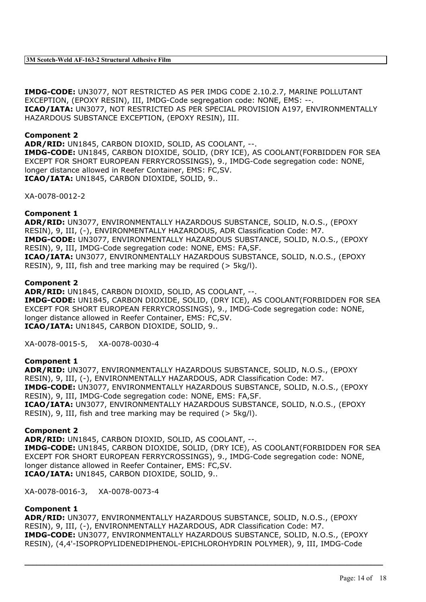**IMDG-CODE:** UN3077, NOT RESTRICTED AS PER IMDG CODE 2.10.2.7, MARINE POLLUTANT EXCEPTION, (EPOXY RESIN), III, IMDG-Code segregation code: NONE, EMS: --. **ICAO/IATA:** UN3077, NOT RESTRICTED AS PER SPECIAL PROVISION A197, ENVIRONMENTALLY HAZARDOUS SUBSTANCE EXCEPTION, (EPOXY RESIN), III.

# **Component 2**

**ADR/RID:** UN1845, CARBON DIOXID, SOLID, AS COOLANT, --. **IMDG-CODE:** UN1845, CARBON DIOXIDE, SOLID, (DRY ICE), AS COOLANT(FORBIDDEN FOR SEA EXCEPT FOR SHORT EUROPEAN FERRYCROSSINGS), 9., IMDG-Code segregation code: NONE, longer distance allowed in Reefer Container, EMS: FC,SV. **ICAO/IATA:** UN1845, CARBON DIOXIDE, SOLID, 9..

XA-0078-0012-2

# **Component 1**

**ADR/RID:** UN3077, ENVIRONMENTALLY HAZARDOUS SUBSTANCE, SOLID, N.O.S., (EPOXY RESIN), 9, III, (-), ENVIRONMENTALLY HAZARDOUS, ADR Classification Code: M7. **IMDG-CODE:** UN3077, ENVIRONMENTALLY HAZARDOUS SUBSTANCE, SOLID, N.O.S., (EPOXY RESIN), 9, III, IMDG-Code segregation code: NONE, EMS: FA,SF. **ICAO/IATA:** UN3077, ENVIRONMENTALLY HAZARDOUS SUBSTANCE, SOLID, N.O.S., (EPOXY RESIN), 9, III, fish and tree marking may be required (> 5kg/l).

# **Component 2**

**ADR/RID:** UN1845, CARBON DIOXID, SOLID, AS COOLANT, --. **IMDG-CODE:** UN1845, CARBON DIOXIDE, SOLID, (DRY ICE), AS COOLANT(FORBIDDEN FOR SEA EXCEPT FOR SHORT EUROPEAN FERRYCROSSINGS), 9., IMDG-Code segregation code: NONE, longer distance allowed in Reefer Container, EMS: FC,SV. **ICAO/IATA:** UN1845, CARBON DIOXIDE, SOLID, 9..

XA-0078-0015-5, XA-0078-0030-4

# **Component 1**

**ADR/RID:** UN3077, ENVIRONMENTALLY HAZARDOUS SUBSTANCE, SOLID, N.O.S., (EPOXY RESIN), 9, III, (-), ENVIRONMENTALLY HAZARDOUS, ADR Classification Code: M7. **IMDG-CODE:** UN3077, ENVIRONMENTALLY HAZARDOUS SUBSTANCE, SOLID, N.O.S., (EPOXY RESIN), 9, III, IMDG-Code segregation code: NONE, EMS: FA,SF. **ICAO/IATA:** UN3077, ENVIRONMENTALLY HAZARDOUS SUBSTANCE, SOLID, N.O.S., (EPOXY RESIN), 9, III, fish and tree marking may be required (> 5kg/l).

# **Component 2**

**ADR/RID:** UN1845, CARBON DIOXID, SOLID, AS COOLANT, --. **IMDG-CODE:** UN1845, CARBON DIOXIDE, SOLID, (DRY ICE), AS COOLANT(FORBIDDEN FOR SEA EXCEPT FOR SHORT EUROPEAN FERRYCROSSINGS), 9., IMDG-Code segregation code: NONE, longer distance allowed in Reefer Container, EMS: FC,SV. **ICAO/IATA:** UN1845, CARBON DIOXIDE, SOLID, 9..

XA-0078-0016-3, XA-0078-0073-4

# **Component 1**

**ADR/RID:** UN3077, ENVIRONMENTALLY HAZARDOUS SUBSTANCE, SOLID, N.O.S., (EPOXY RESIN), 9, III, (-), ENVIRONMENTALLY HAZARDOUS, ADR Classification Code: M7. **IMDG-CODE:** UN3077, ENVIRONMENTALLY HAZARDOUS SUBSTANCE, SOLID, N.O.S., (EPOXY RESIN), (4,4'-ISOPROPYLIDENEDIPHENOL-EPICHLOROHYDRIN POLYMER), 9, III, IMDG-Code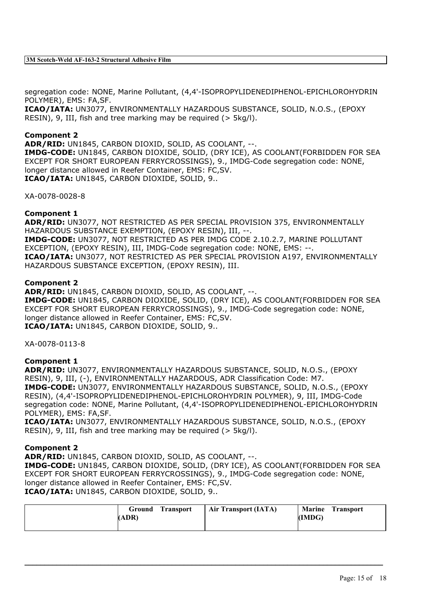segregation code: NONE, Marine Pollutant, (4,4'-ISOPROPYLIDENEDIPHENOL-EPICHLOROHYDRIN POLYMER), EMS: FA,SF.

**ICAO/IATA:** UN3077, ENVIRONMENTALLY HAZARDOUS SUBSTANCE, SOLID, N.O.S., (EPOXY RESIN), 9, III, fish and tree marking may be required (> 5kg/l).

# **Component 2**

**ADR/RID:** UN1845, CARBON DIOXID, SOLID, AS COOLANT, --.

**IMDG-CODE:** UN1845, CARBON DIOXIDE, SOLID, (DRY ICE), AS COOLANT(FORBIDDEN FOR SEA EXCEPT FOR SHORT EUROPEAN FERRYCROSSINGS), 9., IMDG-Code segregation code: NONE, longer distance allowed in Reefer Container, EMS: FC,SV. **ICAO/IATA:** UN1845, CARBON DIOXIDE, SOLID, 9..

XA-0078-0028-8

# **Component 1**

**ADR/RID:** UN3077, NOT RESTRICTED AS PER SPECIAL PROVISION 375, ENVIRONMENTALLY HAZARDOUS SUBSTANCE EXEMPTION, (EPOXY RESIN), III, --. **IMDG-CODE:** UN3077, NOT RESTRICTED AS PER IMDG CODE 2.10.2.7, MARINE POLLUTANT EXCEPTION, (EPOXY RESIN), III, IMDG-Code segregation code: NONE, EMS: --. **ICAO/IATA:** UN3077, NOT RESTRICTED AS PER SPECIAL PROVISION A197, ENVIRONMENTALLY HAZARDOUS SUBSTANCE EXCEPTION, (EPOXY RESIN), III.

### **Component 2**

**ADR/RID:** UN1845, CARBON DIOXID, SOLID, AS COOLANT, --. **IMDG-CODE:** UN1845, CARBON DIOXIDE, SOLID, (DRY ICE), AS COOLANT(FORBIDDEN FOR SEA EXCEPT FOR SHORT EUROPEAN FERRYCROSSINGS), 9., IMDG-Code segregation code: NONE, longer distance allowed in Reefer Container, EMS: FC,SV. **ICAO/IATA:** UN1845, CARBON DIOXIDE, SOLID, 9..

XA-0078-0113-8

### **Component 1**

**ADR/RID:** UN3077, ENVIRONMENTALLY HAZARDOUS SUBSTANCE, SOLID, N.O.S., (EPOXY RESIN), 9, III, (-), ENVIRONMENTALLY HAZARDOUS, ADR Classification Code: M7. **IMDG-CODE:** UN3077, ENVIRONMENTALLY HAZARDOUS SUBSTANCE, SOLID, N.O.S., (EPOXY RESIN), (4,4'-ISOPROPYLIDENEDIPHENOL-EPICHLOROHYDRIN POLYMER), 9, III, IMDG-Code segregation code: NONE, Marine Pollutant, (4,4'-ISOPROPYLIDENEDIPHENOL-EPICHLOROHYDRIN POLYMER), EMS: FA,SF.

**ICAO/IATA:** UN3077, ENVIRONMENTALLY HAZARDOUS SUBSTANCE, SOLID, N.O.S., (EPOXY RESIN), 9, III, fish and tree marking may be required (> 5kg/l).

### **Component 2**

**ADR/RID:** UN1845, CARBON DIOXID, SOLID, AS COOLANT, --. **IMDG-CODE:** UN1845, CARBON DIOXIDE, SOLID, (DRY ICE), AS COOLANT(FORBIDDEN FOR SEA EXCEPT FOR SHORT EUROPEAN FERRYCROSSINGS), 9., IMDG-Code segregation code: NONE, longer distance allowed in Reefer Container, EMS: FC,SV. **ICAO/IATA:** UN1845, CARBON DIOXIDE, SOLID, 9..

| <b>Transport</b><br>Ground<br>(ADR) | <b>Air Transport (IATA)</b> | <b>Marine Transport</b><br>(IMDG) |
|-------------------------------------|-----------------------------|-----------------------------------|
|-------------------------------------|-----------------------------|-----------------------------------|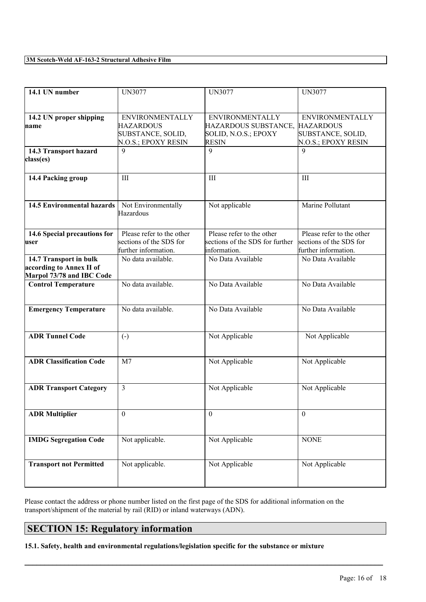| $14.1$ UN number                                                                | <b>UN3077</b>                                                                          | <b>UN3077</b>                                                                                    | <b>UN3077</b>                                                                |
|---------------------------------------------------------------------------------|----------------------------------------------------------------------------------------|--------------------------------------------------------------------------------------------------|------------------------------------------------------------------------------|
| 14.2 UN proper shipping<br>name                                                 | <b>ENVIRONMENTALLY</b><br><b>HAZARDOUS</b><br>SUBSTANCE, SOLID,<br>N.O.S.; EPOXY RESIN | <b>ENVIRONMENTALLY</b><br>HAZARDOUS SUBSTANCE, HAZARDOUS<br>SOLID, N.O.S.; EPOXY<br><b>RESIN</b> | <b>ENVIRONMENTALLY</b><br>SUBSTANCE, SOLID,<br>N.O.S.; EPOXY RESIN           |
| 14.3 Transport hazard<br>class(es)                                              | $\mathbf Q$                                                                            | 9                                                                                                | $\mathbf Q$                                                                  |
| 14.4 Packing group                                                              | III                                                                                    | III                                                                                              | III                                                                          |
| <b>14.5 Environmental hazards</b>                                               | Not Environmentally<br>Hazardous                                                       | Not applicable                                                                                   | Marine Pollutant                                                             |
| 14.6 Special precautions for<br>user                                            | Please refer to the other<br>sections of the SDS for<br>further information.           | Please refer to the other<br>sections of the SDS for further<br>information.                     | Please refer to the other<br>sections of the SDS for<br>further information. |
| 14.7 Transport in bulk<br>according to Annex II of<br>Marpol 73/78 and IBC Code | No data available.                                                                     | No Data Available                                                                                | No Data Available                                                            |
| <b>Control Temperature</b>                                                      | No data available.                                                                     | No Data Available                                                                                | No Data Available                                                            |
| <b>Emergency Temperature</b>                                                    | No data available.                                                                     | No Data Available                                                                                | No Data Available                                                            |
| <b>ADR Tunnel Code</b>                                                          | $\left( -\right)$                                                                      | Not Applicable                                                                                   | Not Applicable                                                               |
| <b>ADR Classification Code</b>                                                  | M <sub>7</sub>                                                                         | Not Applicable                                                                                   | Not Applicable                                                               |
| <b>ADR Transport Category</b>                                                   | 3                                                                                      | Not Applicable                                                                                   | Not Applicable                                                               |
| <b>ADR</b> Multiplier                                                           | $\theta$                                                                               | $\mathbf{0}$                                                                                     | $\theta$                                                                     |
| <b>IMDG Segregation Code</b>                                                    | Not applicable.                                                                        | Not Applicable                                                                                   | <b>NONE</b>                                                                  |
| <b>Transport not Permitted</b>                                                  | Not applicable.                                                                        | Not Applicable                                                                                   | Not Applicable                                                               |

Please contact the address or phone number listed on the first page of the SDS for additional information on the transport/shipment of the material by rail (RID) or inland waterways (ADN).

 $\mathcal{L}_\mathcal{L} = \mathcal{L}_\mathcal{L} = \mathcal{L}_\mathcal{L} = \mathcal{L}_\mathcal{L} = \mathcal{L}_\mathcal{L} = \mathcal{L}_\mathcal{L} = \mathcal{L}_\mathcal{L} = \mathcal{L}_\mathcal{L} = \mathcal{L}_\mathcal{L} = \mathcal{L}_\mathcal{L} = \mathcal{L}_\mathcal{L} = \mathcal{L}_\mathcal{L} = \mathcal{L}_\mathcal{L} = \mathcal{L}_\mathcal{L} = \mathcal{L}_\mathcal{L} = \mathcal{L}_\mathcal{L} = \mathcal{L}_\mathcal{L}$ 

# **SECTION 15: Regulatory information**

**15.1. Safety, health and environmental regulations/legislation specific for the substance or mixture**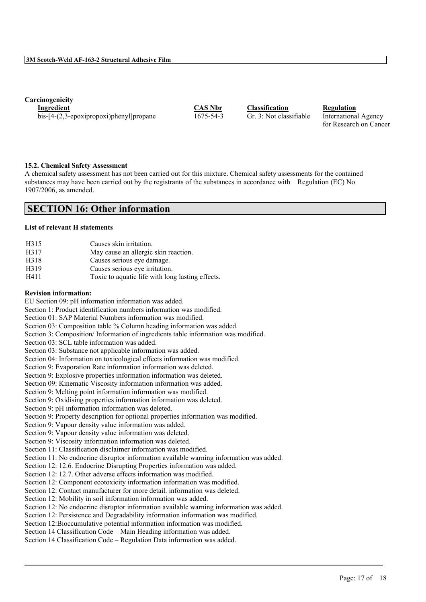**Carcinogenicity**

**Ingredient CAS Nbr Classification Regulation** bis-[4-(2,3-epoxipropoxi)phenyl]propane 1675-54-3 Gr. 3: Not classifiable International Agency

for Research on Cancer

#### **15.2. Chemical Safety Assessment**

A chemical safety assessment has not been carried out for this mixture. Chemical safety assessments for the contained substances may have been carried out by the registrants of the substances in accordance with Regulation (EC) No 1907/2006, as amended.

# **SECTION 16: Other information**

#### **List of relevant H statements**

| H315 | Causes skin irritation.                          |
|------|--------------------------------------------------|
| H317 | May cause an allergic skin reaction.             |
| H318 | Causes serious eye damage.                       |
| H319 | Causes serious eye irritation.                   |
| H411 | Toxic to aquatic life with long lasting effects. |

## **Revision information:**

EU Section 09: pH information information was added.

Section 1: Product identification numbers information was modified.

Section 01: SAP Material Numbers information was modified.

Section 03: Composition table % Column heading information was added.

Section 3: Composition/ Information of ingredients table information was modified.

Section 03: SCL table information was added.

Section 03: Substance not applicable information was added.

Section 04: Information on toxicological effects information was modified.

Section 9: Evaporation Rate information information was deleted.

Section 9: Explosive properties information information was deleted.

Section 09: Kinematic Viscosity information information was added.

Section 9: Melting point information information was modified.

Section 9: Oxidising properties information information was deleted.

Section 9: pH information information was deleted.

Section 9: Property description for optional properties information was modified.

Section 9: Vapour density value information was added.

Section 9: Vapour density value information was deleted.

Section 9: Viscosity information information was deleted.

Section 11: Classification disclaimer information was modified.

Section 11: No endocrine disruptor information available warning information was added.

Section 12: 12.6. Endocrine Disrupting Properties information was added.

Section 12: 12.7. Other adverse effects information was modified.

Section 12: Component ecotoxicity information information was modified.

Section 12: Contact manufacturer for more detail. information was deleted.

Section 12: Mobility in soil information information was added.

Section 12: No endocrine disruptor information available warning information was added.

 $\mathcal{L}_\mathcal{L} = \mathcal{L}_\mathcal{L} = \mathcal{L}_\mathcal{L} = \mathcal{L}_\mathcal{L} = \mathcal{L}_\mathcal{L} = \mathcal{L}_\mathcal{L} = \mathcal{L}_\mathcal{L} = \mathcal{L}_\mathcal{L} = \mathcal{L}_\mathcal{L} = \mathcal{L}_\mathcal{L} = \mathcal{L}_\mathcal{L} = \mathcal{L}_\mathcal{L} = \mathcal{L}_\mathcal{L} = \mathcal{L}_\mathcal{L} = \mathcal{L}_\mathcal{L} = \mathcal{L}_\mathcal{L} = \mathcal{L}_\mathcal{L}$ 

Section 12: Persistence and Degradability information information was modified.

Section 12:Bioccumulative potential information information was modified.

Section 14 Classification Code – Main Heading information was added.

Section 14 Classification Code – Regulation Data information was added.